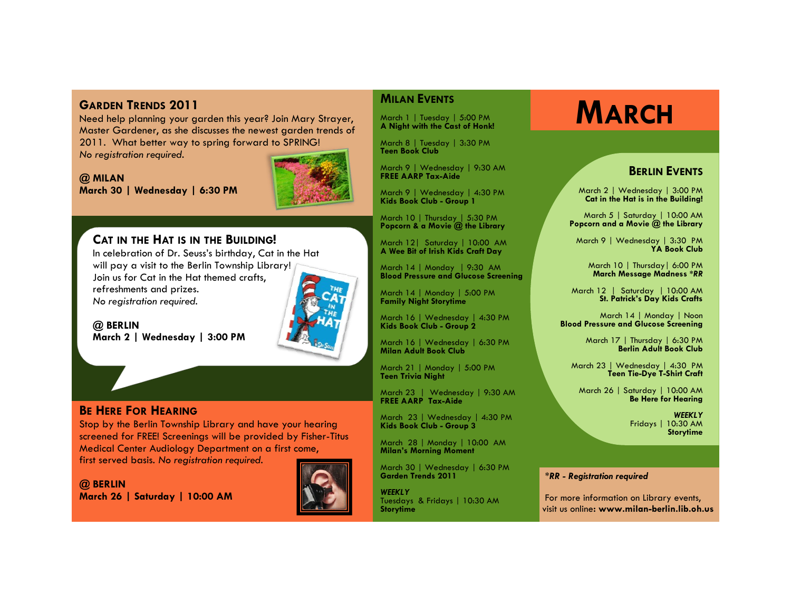**GARDEN TRENDS 2011**<br>
Need help planning your garden this year? Join Mary Strayer,<br>
A Night with the Cast of Honk! Master Gardener, as she discusses the newest garden trends of 2011. What better way to spring forward to SPRING! *No registration required.*

**@ MILAN March 30 | Wednesday | 6:30 PM**

# **CAT IN THE HAT IS IN THE BUILDING!**

In celebration of Dr. Seuss's birthday, Cat in the Hat will pay a visit to the Berlin Township Library! Join us for Cat in the Hat themed crafts, refreshments and prizes. *No registration required*.

**@ BERLIN March 2 | Wednesday | 3:00 PM** 

# **BE HERE FOR HEARING**

Stop by the Berlin Township Library and have your hearing screened for FREE! Screenings will be provided by Fisher-Titus Medical Center Audiology Department on a first come, first served basis. *No registration required.* 

**@ BERLIN March 26 | Saturday | 10:00 AM** 



### **MILAN EVENTS**

March 1 | Tuesday | 5:00 PM **A Night with the Cast of Honk!**

March 8 | Tuesday | 3:30 PM **Teen Book Club**

March 9 | Wednesday | 9:30 AM **FREE AARP Tax-Aide**

March 9 | Wednesday | 4:30 PM **Kids Book Club - Group 1**

March 10 | Thursday | 5:30 PM **Popcorn & a Movie @ the Library**

March 12| Saturday | 10:00 AM **A Wee Bit of Irish Kids Craft Day**

March 14 | Monday | 9:30 AM **Blood Pressure and Glucose Screening**

March 14 | Monday | 5:00 PM **Family Night Storytime** 

March 16 | Wednesday | 4:30 PM **Kids Book Club - Group 2**

March 16 | Wednesday | 6:30 PM **Milan Adult Book Club**

March 21 | Monday | 5:00 PM **Teen Trivia Night** 

March 23 | Wednesday | 9:30 AM **FREE AARP Tax-Aide**

March 23 | Wednesday | 4:30 PM **Kids Book Club - Group 3**

March 28 | Monday | 10:00 AM **Milan's Morning Moment**

March 30 | Wednesday | 6:30 PM **Garden Trends 2011**

*WEEKLY* Tuesdays & Fridays | 10:30 AM **Storytime**

## **BERLIN EVENTS**

March 2 | Wednesday | 3:00 PM **Cat in the Hat is in the Building!**

March 5 | Saturday | 10:00 AM **Popcorn and a Movie @ the Library**

March 9 | Wednesday | 3:30 PM **YA Book Club**

March 10 | Thursday| 6:00 PM **March Message Madness** *\*RR*

March 12 | Saturday | 10:00 AM **St. Patrick's Day Kids Crafts**

March 14 | Monday | Noon **Blood Pressure and Glucose Screening**

> March 17 | Thursday | 6:30 PM **Berlin Adult Book Club**

March 23 | Wednesday | 4:30 PM **Teen Tie-Dye T-Shirt Craft**

March 26 | Saturday | 10:00 AM **Be Here for Hearing**

> *WEEKLY* Fridays | 10:30 AM **Storytime**

#### *\*RR - Registration required*

For more information on Library events, visit us online**: www.milan-berlin.lib.oh.us**